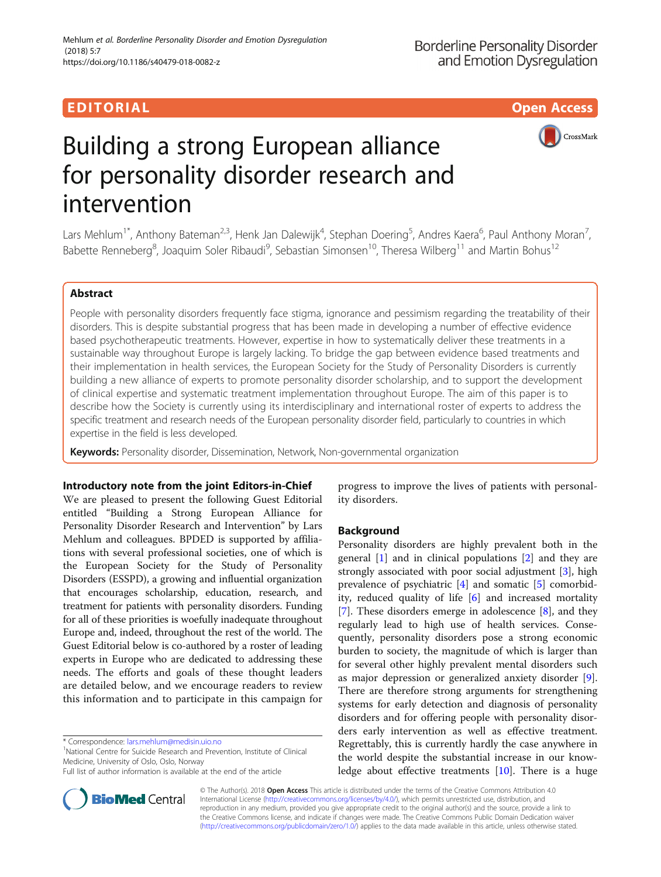# EDITORIAL AND INTERNATIONAL CONTRACT CONTRACT OF THE CONTRACT OF THE CONTRACT OF THE CONTRACT OF THE CONTRACT O



# Building a strong European alliance for personality disorder research and intervention

Lars Mehlum<sup>1\*</sup>, Anthony Bateman<sup>2,3</sup>, Henk Jan Dalewijk<sup>4</sup>, Stephan Doering<sup>5</sup>, Andres Kaera<sup>6</sup>, Paul Anthony Moran<sup>7</sup> , Babette Renneberg<sup>8</sup>, Joaquim Soler Ribaudi<sup>9</sup>, Sebastian Simonsen<sup>10</sup>, Theresa Wilberg<sup>11</sup> and Martin Bohus<sup>12</sup>

# Abstract

People with personality disorders frequently face stigma, ignorance and pessimism regarding the treatability of their disorders. This is despite substantial progress that has been made in developing a number of effective evidence based psychotherapeutic treatments. However, expertise in how to systematically deliver these treatments in a sustainable way throughout Europe is largely lacking. To bridge the gap between evidence based treatments and their implementation in health services, the European Society for the Study of Personality Disorders is currently building a new alliance of experts to promote personality disorder scholarship, and to support the development of clinical expertise and systematic treatment implementation throughout Europe. The aim of this paper is to describe how the Society is currently using its interdisciplinary and international roster of experts to address the specific treatment and research needs of the European personality disorder field, particularly to countries in which expertise in the field is less developed.

Keywords: Personality disorder, Dissemination, Network, Non-governmental organization

# Introductory note from the joint Editors-in-Chief

We are pleased to present the following Guest Editorial entitled "Building a Strong European Alliance for Personality Disorder Research and Intervention" by Lars Mehlum and colleagues. BPDED is supported by affiliations with several professional societies, one of which is the European Society for the Study of Personality Disorders (ESSPD), a growing and influential organization that encourages scholarship, education, research, and treatment for patients with personality disorders. Funding for all of these priorities is woefully inadequate throughout Europe and, indeed, throughout the rest of the world. The Guest Editorial below is co-authored by a roster of leading experts in Europe who are dedicated to addressing these needs. The efforts and goals of these thought leaders are detailed below, and we encourage readers to review this information and to participate in this campaign for

\* Correspondence: [lars.mehlum@medisin.uio.no](mailto:lars.mehlum@medisin.uio.no) <sup>1</sup>

**BioMed Central** 

<sup>1</sup>National Centre for Suicide Research and Prevention, Institute of Clinical Medicine, University of Oslo, Oslo, Norway



### Background

Personality disorders are highly prevalent both in the general [[1\]](#page-3-0) and in clinical populations [\[2](#page-3-0)] and they are strongly associated with poor social adjustment [\[3](#page-3-0)], high prevalence of psychiatric [[4](#page-3-0)] and somatic [[5\]](#page-3-0) comorbidity, reduced quality of life [\[6](#page-3-0)] and increased mortality [[7\]](#page-3-0). These disorders emerge in adolescence [\[8](#page-3-0)], and they regularly lead to high use of health services. Consequently, personality disorders pose a strong economic burden to society, the magnitude of which is larger than for several other highly prevalent mental disorders such as major depression or generalized anxiety disorder [\[9](#page-3-0)]. There are therefore strong arguments for strengthening systems for early detection and diagnosis of personality disorders and for offering people with personality disorders early intervention as well as effective treatment. Regrettably, this is currently hardly the case anywhere in the world despite the substantial increase in our knowledge about effective treatments  $[10]$  $[10]$ . There is a huge

© The Author(s). 2018 Open Access This article is distributed under the terms of the Creative Commons Attribution 4.0 International License [\(http://creativecommons.org/licenses/by/4.0/](http://creativecommons.org/licenses/by/4.0/)), which permits unrestricted use, distribution, and reproduction in any medium, provided you give appropriate credit to the original author(s) and the source, provide a link to the Creative Commons license, and indicate if changes were made. The Creative Commons Public Domain Dedication waiver [\(http://creativecommons.org/publicdomain/zero/1.0/](http://creativecommons.org/publicdomain/zero/1.0/)) applies to the data made available in this article, unless otherwise stated.

Full list of author information is available at the end of the article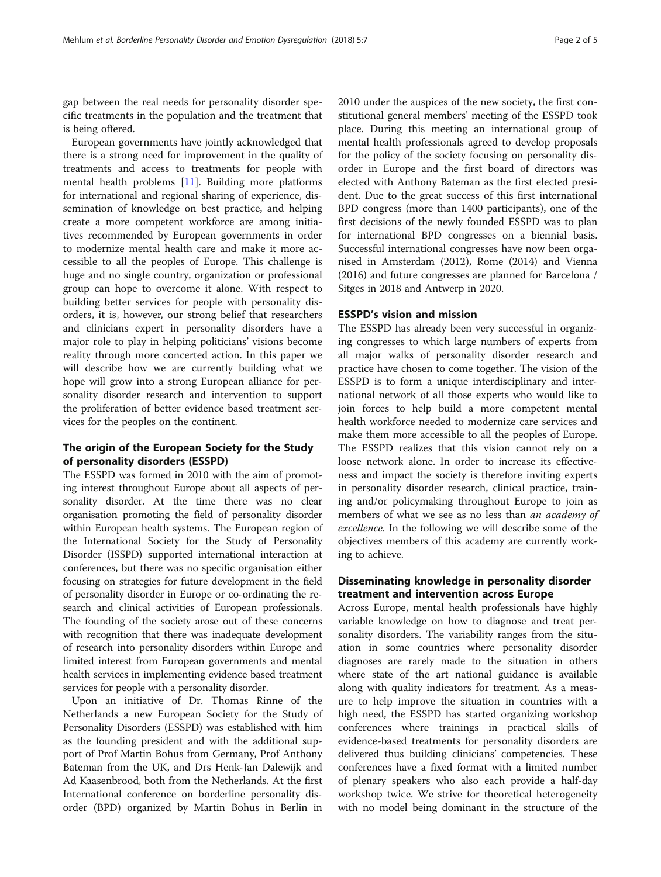gap between the real needs for personality disorder specific treatments in the population and the treatment that is being offered.

European governments have jointly acknowledged that there is a strong need for improvement in the quality of treatments and access to treatments for people with mental health problems [\[11\]](#page-4-0). Building more platforms for international and regional sharing of experience, dissemination of knowledge on best practice, and helping create a more competent workforce are among initiatives recommended by European governments in order to modernize mental health care and make it more accessible to all the peoples of Europe. This challenge is huge and no single country, organization or professional group can hope to overcome it alone. With respect to building better services for people with personality disorders, it is, however, our strong belief that researchers and clinicians expert in personality disorders have a major role to play in helping politicians' visions become reality through more concerted action. In this paper we will describe how we are currently building what we hope will grow into a strong European alliance for personality disorder research and intervention to support the proliferation of better evidence based treatment services for the peoples on the continent.

# The origin of the European Society for the Study of personality disorders (ESSPD)

The ESSPD was formed in 2010 with the aim of promoting interest throughout Europe about all aspects of personality disorder. At the time there was no clear organisation promoting the field of personality disorder within European health systems. The European region of the International Society for the Study of Personality Disorder (ISSPD) supported international interaction at conferences, but there was no specific organisation either focusing on strategies for future development in the field of personality disorder in Europe or co-ordinating the research and clinical activities of European professionals. The founding of the society arose out of these concerns with recognition that there was inadequate development of research into personality disorders within Europe and limited interest from European governments and mental health services in implementing evidence based treatment services for people with a personality disorder.

Upon an initiative of Dr. Thomas Rinne of the Netherlands a new European Society for the Study of Personality Disorders (ESSPD) was established with him as the founding president and with the additional support of Prof Martin Bohus from Germany, Prof Anthony Bateman from the UK, and Drs Henk-Jan Dalewijk and Ad Kaasenbrood, both from the Netherlands. At the first International conference on borderline personality disorder (BPD) organized by Martin Bohus in Berlin in 2010 under the auspices of the new society, the first constitutional general members' meeting of the ESSPD took place. During this meeting an international group of mental health professionals agreed to develop proposals for the policy of the society focusing on personality disorder in Europe and the first board of directors was elected with Anthony Bateman as the first elected president. Due to the great success of this first international BPD congress (more than 1400 participants), one of the first decisions of the newly founded ESSPD was to plan for international BPD congresses on a biennial basis. Successful international congresses have now been organised in Amsterdam (2012), Rome (2014) and Vienna (2016) and future congresses are planned for Barcelona / Sitges in 2018 and Antwerp in 2020.

#### ESSPD's vision and mission

The ESSPD has already been very successful in organizing congresses to which large numbers of experts from all major walks of personality disorder research and practice have chosen to come together. The vision of the ESSPD is to form a unique interdisciplinary and international network of all those experts who would like to join forces to help build a more competent mental health workforce needed to modernize care services and make them more accessible to all the peoples of Europe. The ESSPD realizes that this vision cannot rely on a loose network alone. In order to increase its effectiveness and impact the society is therefore inviting experts in personality disorder research, clinical practice, training and/or policymaking throughout Europe to join as members of what we see as no less than *an academy of* excellence. In the following we will describe some of the objectives members of this academy are currently working to achieve.

## Disseminating knowledge in personality disorder treatment and intervention across Europe

Across Europe, mental health professionals have highly variable knowledge on how to diagnose and treat personality disorders. The variability ranges from the situation in some countries where personality disorder diagnoses are rarely made to the situation in others where state of the art national guidance is available along with quality indicators for treatment. As a measure to help improve the situation in countries with a high need, the ESSPD has started organizing workshop conferences where trainings in practical skills of evidence-based treatments for personality disorders are delivered thus building clinicians' competencies. These conferences have a fixed format with a limited number of plenary speakers who also each provide a half-day workshop twice. We strive for theoretical heterogeneity with no model being dominant in the structure of the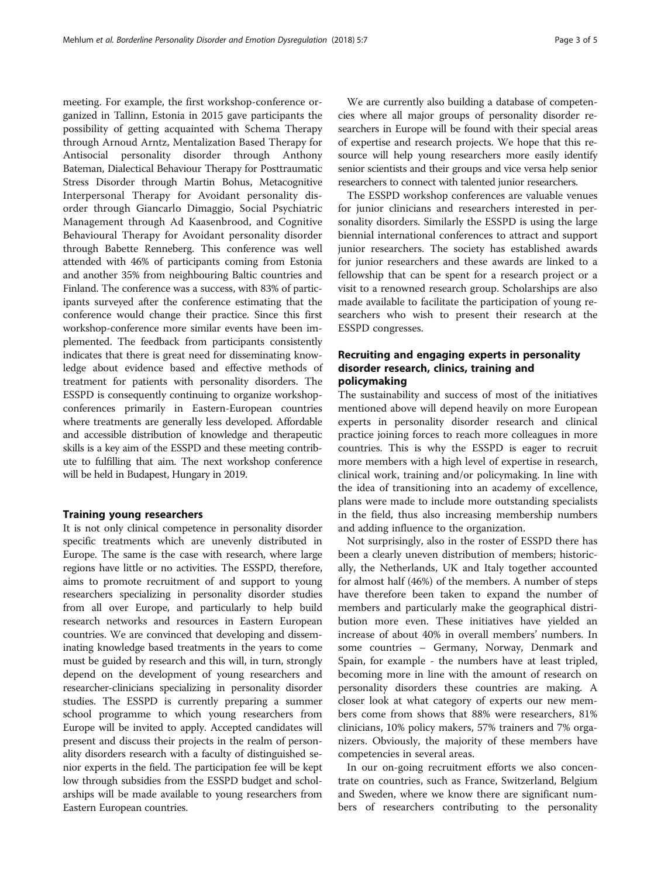meeting. For example, the first workshop-conference organized in Tallinn, Estonia in 2015 gave participants the possibility of getting acquainted with Schema Therapy through Arnoud Arntz, Mentalization Based Therapy for Antisocial personality disorder through Anthony Bateman, Dialectical Behaviour Therapy for Posttraumatic Stress Disorder through Martin Bohus, Metacognitive Interpersonal Therapy for Avoidant personality disorder through Giancarlo Dimaggio, Social Psychiatric Management through Ad Kaasenbrood, and Cognitive Behavioural Therapy for Avoidant personality disorder through Babette Renneberg. This conference was well attended with 46% of participants coming from Estonia and another 35% from neighbouring Baltic countries and Finland. The conference was a success, with 83% of participants surveyed after the conference estimating that the conference would change their practice. Since this first workshop-conference more similar events have been implemented. The feedback from participants consistently indicates that there is great need for disseminating knowledge about evidence based and effective methods of treatment for patients with personality disorders. The ESSPD is consequently continuing to organize workshopconferences primarily in Eastern-European countries where treatments are generally less developed. Affordable and accessible distribution of knowledge and therapeutic skills is a key aim of the ESSPD and these meeting contribute to fulfilling that aim. The next workshop conference will be held in Budapest, Hungary in 2019.

#### Training young researchers

It is not only clinical competence in personality disorder specific treatments which are unevenly distributed in Europe. The same is the case with research, where large regions have little or no activities. The ESSPD, therefore, aims to promote recruitment of and support to young researchers specializing in personality disorder studies from all over Europe, and particularly to help build research networks and resources in Eastern European countries. We are convinced that developing and disseminating knowledge based treatments in the years to come must be guided by research and this will, in turn, strongly depend on the development of young researchers and researcher-clinicians specializing in personality disorder studies. The ESSPD is currently preparing a summer school programme to which young researchers from Europe will be invited to apply. Accepted candidates will present and discuss their projects in the realm of personality disorders research with a faculty of distinguished senior experts in the field. The participation fee will be kept low through subsidies from the ESSPD budget and scholarships will be made available to young researchers from Eastern European countries.

We are currently also building a database of competencies where all major groups of personality disorder researchers in Europe will be found with their special areas of expertise and research projects. We hope that this resource will help young researchers more easily identify senior scientists and their groups and vice versa help senior researchers to connect with talented junior researchers.

The ESSPD workshop conferences are valuable venues for junior clinicians and researchers interested in personality disorders. Similarly the ESSPD is using the large biennial international conferences to attract and support junior researchers. The society has established awards for junior researchers and these awards are linked to a fellowship that can be spent for a research project or a visit to a renowned research group. Scholarships are also made available to facilitate the participation of young researchers who wish to present their research at the ESSPD congresses.

# Recruiting and engaging experts in personality disorder research, clinics, training and policymaking

The sustainability and success of most of the initiatives mentioned above will depend heavily on more European experts in personality disorder research and clinical practice joining forces to reach more colleagues in more countries. This is why the ESSPD is eager to recruit more members with a high level of expertise in research, clinical work, training and/or policymaking. In line with the idea of transitioning into an academy of excellence, plans were made to include more outstanding specialists in the field, thus also increasing membership numbers and adding influence to the organization.

Not surprisingly, also in the roster of ESSPD there has been a clearly uneven distribution of members; historically, the Netherlands, UK and Italy together accounted for almost half (46%) of the members. A number of steps have therefore been taken to expand the number of members and particularly make the geographical distribution more even. These initiatives have yielded an increase of about 40% in overall members' numbers. In some countries – Germany, Norway, Denmark and Spain, for example - the numbers have at least tripled, becoming more in line with the amount of research on personality disorders these countries are making. A closer look at what category of experts our new members come from shows that 88% were researchers, 81% clinicians, 10% policy makers, 57% trainers and 7% organizers. Obviously, the majority of these members have competencies in several areas.

In our on-going recruitment efforts we also concentrate on countries, such as France, Switzerland, Belgium and Sweden, where we know there are significant numbers of researchers contributing to the personality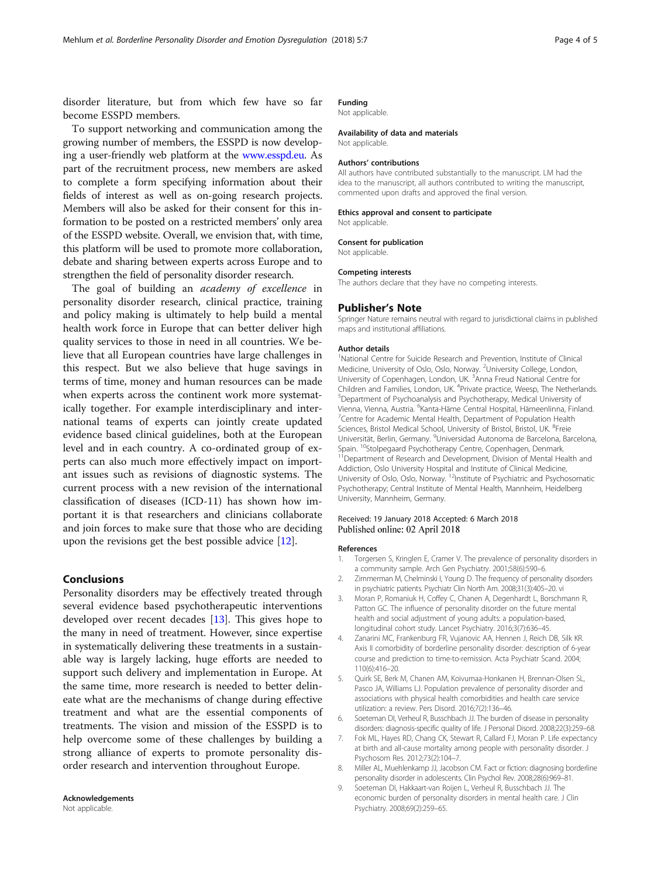<span id="page-3-0"></span>disorder literature, but from which few have so far become ESSPD members.

To support networking and communication among the growing number of members, the ESSPD is now developing a user-friendly web platform at the [www.esspd.eu](http://www.esspd.eu). As part of the recruitment process, new members are asked to complete a form specifying information about their fields of interest as well as on-going research projects. Members will also be asked for their consent for this information to be posted on a restricted members' only area of the ESSPD website. Overall, we envision that, with time, this platform will be used to promote more collaboration, debate and sharing between experts across Europe and to strengthen the field of personality disorder research.

The goal of building an academy of excellence in personality disorder research, clinical practice, training and policy making is ultimately to help build a mental health work force in Europe that can better deliver high quality services to those in need in all countries. We believe that all European countries have large challenges in this respect. But we also believe that huge savings in terms of time, money and human resources can be made when experts across the continent work more systematically together. For example interdisciplinary and international teams of experts can jointly create updated evidence based clinical guidelines, both at the European level and in each country. A co-ordinated group of experts can also much more effectively impact on important issues such as revisions of diagnostic systems. The current process with a new revision of the international classification of diseases (ICD-11) has shown how important it is that researchers and clinicians collaborate and join forces to make sure that those who are deciding upon the revisions get the best possible advice [[12\]](#page-4-0).

#### Conclusions

Personality disorders may be effectively treated through several evidence based psychotherapeutic interventions developed over recent decades [[13](#page-4-0)]. This gives hope to the many in need of treatment. However, since expertise in systematically delivering these treatments in a sustainable way is largely lacking, huge efforts are needed to support such delivery and implementation in Europe. At the same time, more research is needed to better delineate what are the mechanisms of change during effective treatment and what are the essential components of treatments. The vision and mission of the ESSPD is to help overcome some of these challenges by building a strong alliance of experts to promote personality disorder research and intervention throughout Europe.

# Acknowledgements

Not applicable.

## Funding

Not applicable.

#### Availability of data and materials Not applicable

#### Authors' contributions

All authors have contributed substantially to the manuscript. LM had the idea to the manuscript, all authors contributed to writing the manuscript, commented upon drafts and approved the final version.

#### Ethics approval and consent to participate

Not applicable.

#### Consent for publication

Not applicable.

#### Competing interests

The authors declare that they have no competing interests.

#### Publisher's Note

Springer Nature remains neutral with regard to jurisdictional claims in published maps and institutional affiliations.

#### Author details

<sup>1</sup>National Centre for Suicide Research and Prevention, Institute of Clinical Medicine, University of Oslo, Oslo, Norway. <sup>2</sup>University College, London, University of Copenhagen, London, UK.<sup>3</sup> Anna Freud National Centre for Children and Families, London, UK. <sup>4</sup>Private practice, Weesp, The Netherlands.<br><sup>5</sup>Department of Beychoanalysis and Beychotherapy, Modical University of <sup>5</sup>Department of Psychoanalysis and Psychotherapy, Medical University of Vienna, Vienna, Austria. <sup>6</sup>Kanta-Häme Central Hospital, Hämeenlinna, Finland.<br><sup>7</sup>Centra for Academic Montal Hoalth, Department of Population Hoalth.  $K^7$ Centre for Academic Mental Health, Department of Population Health Sciences, Bristol Medical School, University of Bristol, Bristol, UK. <sup>8</sup>Freie Universität, Berlin, Germany. <sup>9</sup>Universidad Autonoma de Barcelona, Barcelona, Spain. <sup>10</sup>Stolpegaard Psychotherapy Centre, Copenhagen, Denmark.<br><sup>11</sup>Department of Research and Development, Division of Mental Health and Addiction, Oslo University Hospital and Institute of Clinical Medicine, University of Oslo, Oslo, Norway. <sup>12</sup>Institute of Psychiatric and Psychosomatic Psychotherapy; Central Institute of Mental Health, Mannheim, Heidelberg University, Mannheim, Germany.

#### Received: 19 January 2018 Accepted: 6 March 2018 Published online: 02 April 2018

#### References

- 1. Torgersen S, Kringlen E, Cramer V. The prevalence of personality disorders in a community sample. Arch Gen Psychiatry. 2001;58(6):590–6.
- 2. Zimmerman M, Chelminski I, Young D. The frequency of personality disorders in psychiatric patients. Psychiatr Clin North Am. 2008;31(3):405–20. vi
- 3. Moran P, Romaniuk H, Coffey C, Chanen A, Degenhardt L, Borschmann R, Patton GC. The influence of personality disorder on the future mental health and social adjustment of young adults: a population-based, longitudinal cohort study. Lancet Psychiatry. 2016;3(7):636–45.
- 4. Zanarini MC, Frankenburg FR, Vujanovic AA, Hennen J, Reich DB, Silk KR. Axis II comorbidity of borderline personality disorder: description of 6-year course and prediction to time-to-remission. Acta Psychiatr Scand. 2004; 110(6):416–20.
- 5. Quirk SE, Berk M, Chanen AM, Koivumaa-Honkanen H, Brennan-Olsen SL, Pasco JA, Williams LJ. Population prevalence of personality disorder and associations with physical health comorbidities and health care service utilization: a review. Pers Disord. 2016;7(2):136–46.
- Soeteman DI, Verheul R, Busschbach JJ. The burden of disease in personality disorders: diagnosis-specific quality of life. J Personal Disord. 2008;22(3):259–68.
- 7. Fok ML, Hayes RD, Chang CK, Stewart R, Callard FJ, Moran P. Life expectancy at birth and all-cause mortality among people with personality disorder. J Psychosom Res. 2012;73(2):104–7.
- 8. Miller AL, Muehlenkamp JJ, Jacobson CM. Fact or fiction: diagnosing borderline personality disorder in adolescents. Clin Psychol Rev. 2008;28(6):969–81.
- 9. Soeteman DI, Hakkaart-van Roijen L, Verheul R, Busschbach JJ. The economic burden of personality disorders in mental health care. J Clin Psychiatry. 2008;69(2):259–65.